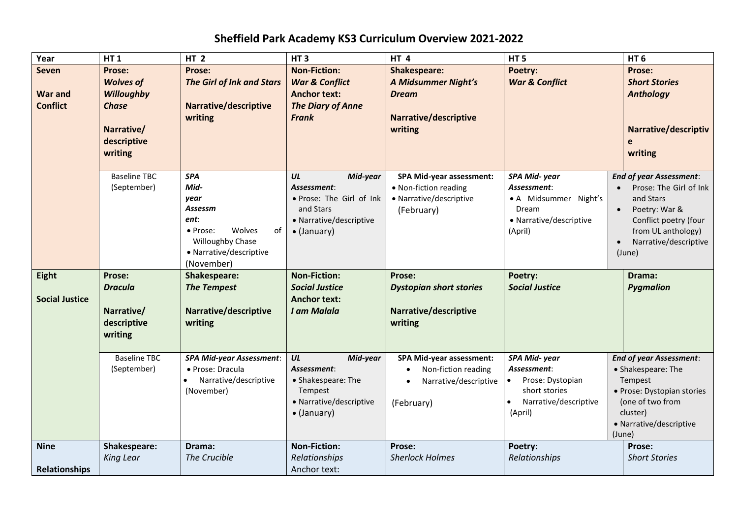## **Sheffield Park Academy KS3 Curriculum Overview 2021-2022**

| Year                                              | <b>HT1</b>                                                                                              | <b>HT 2</b>                                                                                                                            | HT <sub>3</sub>                                                                                                          | <b>HT4</b>                                                                                            | <b>HT5</b>                                                                                                        | HT <sub>6</sub>                                                                                                                                                                                    |
|---------------------------------------------------|---------------------------------------------------------------------------------------------------------|----------------------------------------------------------------------------------------------------------------------------------------|--------------------------------------------------------------------------------------------------------------------------|-------------------------------------------------------------------------------------------------------|-------------------------------------------------------------------------------------------------------------------|----------------------------------------------------------------------------------------------------------------------------------------------------------------------------------------------------|
| <b>Seven</b><br><b>War and</b><br><b>Conflict</b> | Prose:<br><b>Wolves of</b><br><b>Willoughby</b><br><b>Chase</b><br>Narrative/<br>descriptive<br>writing | Prose:<br><b>The Girl of Ink and Stars</b><br>Narrative/descriptive<br>writing                                                         | <b>Non-Fiction:</b><br><b>War &amp; Conflict</b><br><b>Anchor text:</b><br><b>The Diary of Anne</b><br><b>Frank</b>      | <b>Shakespeare:</b><br><b>A Midsummer Night's</b><br><b>Dream</b><br>Narrative/descriptive<br>writing | Poetry:<br><b>War &amp; Conflict</b>                                                                              | Prose:<br><b>Short Stories</b><br><b>Anthology</b><br>Narrative/descriptiv<br>writing                                                                                                              |
|                                                   | <b>Baseline TBC</b><br>(September)                                                                      | <b>SPA</b><br>Mid-<br>year<br>Assessm<br>ent:<br>Wolves<br>• Prose:<br>of<br>Willoughby Chase<br>• Narrative/descriptive<br>(November) | UL<br>Mid-year<br>Assessment:<br>· Prose: The Girl of Ink<br>and Stars<br>• Narrative/descriptive<br>$\bullet$ (January) | <b>SPA Mid-year assessment:</b><br>• Non-fiction reading<br>• Narrative/descriptive<br>(February)     | SPA Mid-year<br>Assessment:<br>• A Midsummer Night's<br>Dream<br>• Narrative/descriptive<br>(April)               | <b>End of year Assessment:</b><br>Prose: The Girl of Ink<br>and Stars<br>Poetry: War &<br>$\bullet$<br>Conflict poetry (four<br>from UL anthology)<br>Narrative/descriptive<br>$\bullet$<br>(June) |
| Eight<br><b>Social Justice</b>                    | Prose:<br><b>Dracula</b><br>Narrative/<br>descriptive<br>writing                                        | Shakespeare:<br><b>The Tempest</b><br>Narrative/descriptive<br>writing                                                                 | <b>Non-Fiction:</b><br><b>Social Justice</b><br><b>Anchor text:</b><br>I am Malala                                       | Prose:<br><b>Dystopian short stories</b><br>Narrative/descriptive<br>writing                          | Poetry:<br><b>Social Justice</b>                                                                                  | Drama:<br><b>Pygmalion</b>                                                                                                                                                                         |
|                                                   | <b>Baseline TBC</b><br>(September)                                                                      | <b>SPA Mid-year Assessment:</b><br>• Prose: Dracula<br>Narrative/descriptive<br>(November)                                             | UL<br>Mid-year<br>Assessment:<br>• Shakespeare: The<br>Tempest<br>• Narrative/descriptive<br>• (January)                 | <b>SPA Mid-year assessment:</b><br>Non-fiction reading<br>Narrative/descriptive<br>(February)         | SPA Mid-year<br>Assessment:<br>Prose: Dystopian<br>$\bullet$<br>short stories<br>Narrative/descriptive<br>(April) | <b>End of year Assessment:</b><br>• Shakespeare: The<br>Tempest<br>· Prose: Dystopian stories<br>(one of two from<br>cluster)<br>• Narrative/descriptive<br>(June)                                 |
| <b>Nine</b><br><b>Relationships</b>               | Shakespeare:<br><b>King Lear</b>                                                                        | Drama:<br>The Crucible                                                                                                                 | <b>Non-Fiction:</b><br>Relationships<br>Anchor text:                                                                     | Prose:<br><b>Sherlock Holmes</b>                                                                      | Poetry:<br>Relationships                                                                                          | Prose:<br><b>Short Stories</b>                                                                                                                                                                     |